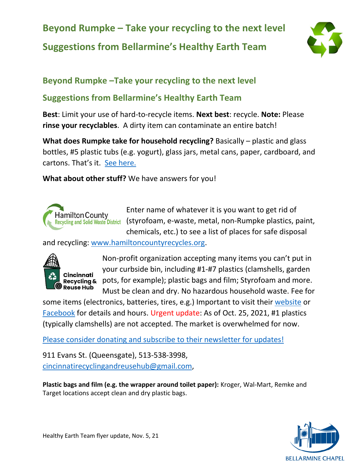# **Beyond Rumpke – Take your recycling to the next level Suggestions from Bellarmine's Healthy Earth Team**



## **Beyond Rumpke –Take your recycling to the next level**

## **Suggestions from Bellarmine's Healthy Earth Team**

**Best**: Limit your use of hard-to-recycle items. **Next best**: recycle. **Note:** Please **rinse your recyclables**. A dirty item can contaminate an entire batch!

**What does Rumpke take for household recycling?** Basically – plastic and glass bottles, #5 plastic tubs (e.g. yogurt), glass jars, metal cans, paper, cardboard, and cartons. That's it. [See here.](https://www.rumpke.com/for-your-home/recycling/acceptable-items)

**What about other stuff?** We have answers for you!



Enter name of whatever it is you want to get rid of (styrofoam, e-waste, metal, non-Rumpke plastics, paint, chemicals, etc.) to see a list of places for safe disposal

and recycling: [www.hamiltoncountyrecycles.org.](http://www.hamiltoncountyrecycles.org/)



**Cincinnati Reuse Hub** 

Non-profit organization accepting many items you can't put in your curbside bin, including #1-#7 plastics (clamshells, garden **Recycling &** pots, for example); plastic bags and film; Styrofoam and more. Must be clean and dry. No hazardous household waste. Fee for

some items (electronics, batteries, tires, e.g.) Important to visit their [website](https://www.cincinnatirecyclingandreusehub.org/) or [Facebook](https://www.facebook.com/CintiRRH/?modal=admin_todo_tour) for details and hours. Urgent update: As of Oct. 25, 2021, #1 plastics (typically clamshells) are not accepted. The market is overwhelmed for now.

[Please consider donating and subscribe to their newsletter for updates!](https://www.cincinnatirecyclingandreusehub.org/#page-section-602b1694da388b185d7aadda)

911 Evans St. (Queensgate), 513-538-3998, [cincinnatirecyclingandreusehub@gmail.com,](mailto:cincinnatirecyclingandreusehub@gmail.com)

**Plastic bags and film (e.g. the wrapper around toilet paper):** Kroger, Wal-Mart, Remke and Target locations accept clean and dry plastic bags.